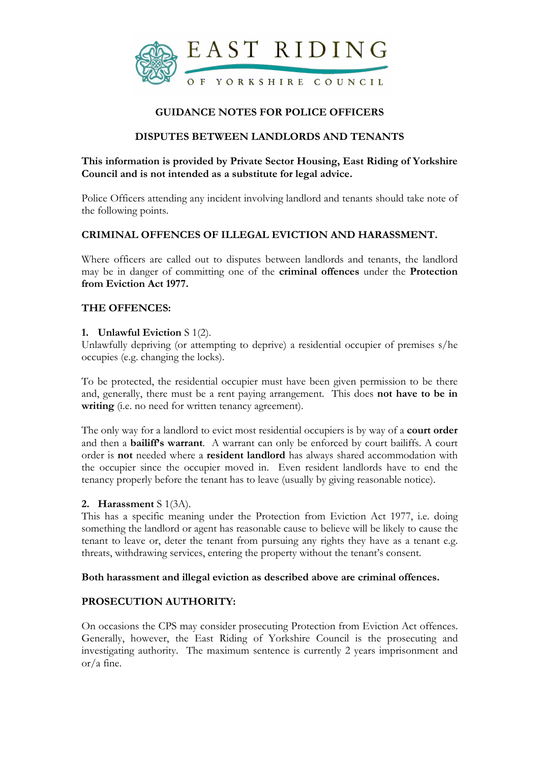

# GUIDANCE NOTES FOR POLICE OFFICERS

# DISPUTES BETWEEN LANDLORDS AND TENANTS

# This information is provided by Private Sector Housing, East Riding of Yorkshire Council and is not intended as a substitute for legal advice.

Police Officers attending any incident involving landlord and tenants should take note of the following points.

## CRIMINAL OFFENCES OF ILLEGAL EVICTION AND HARASSMENT.

Where officers are called out to disputes between landlords and tenants, the landlord may be in danger of committing one of the criminal offences under the Protection from Eviction Act 1977.

## THE OFFENCES:

#### 1. Unlawful Eviction S 1(2).

Unlawfully depriving (or attempting to deprive) a residential occupier of premises s/he occupies (e.g. changing the locks).

To be protected, the residential occupier must have been given permission to be there and, generally, there must be a rent paying arrangement. This does not have to be in writing (i.e. no need for written tenancy agreement).

The only way for a landlord to evict most residential occupiers is by way of a **court order** and then a bailiff's warrant. A warrant can only be enforced by court bailiffs. A court order is not needed where a resident landlord has always shared accommodation with the occupier since the occupier moved in. Even resident landlords have to end the tenancy properly before the tenant has to leave (usually by giving reasonable notice).

## 2. Harassment S 1(3A).

This has a specific meaning under the Protection from Eviction Act 1977, i.e. doing something the landlord or agent has reasonable cause to believe will be likely to cause the tenant to leave or, deter the tenant from pursuing any rights they have as a tenant e.g. threats, withdrawing services, entering the property without the tenant's consent.

#### Both harassment and illegal eviction as described above are criminal offences.

## PROSECUTION AUTHORITY:

On occasions the CPS may consider prosecuting Protection from Eviction Act offences. Generally, however, the East Riding of Yorkshire Council is the prosecuting and investigating authority. The maximum sentence is currently 2 years imprisonment and or/a fine.